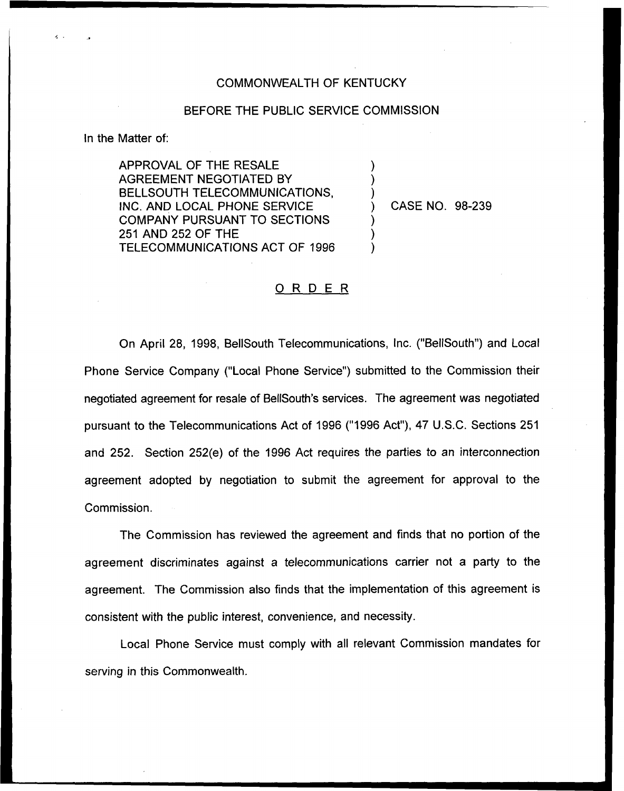## COMMONWEALTH OF KENTUCKY

## BEFORE THE PUBLIC SERVICE COMMISSION

) ) )

) ) )

In the Matter of:

APPROVAL OF THE RESALE AGREEMENT NEGOTIATED BY BELLSOUTH TELECOMMUNICATIONS, INC. AND LOCAL PHONE SERVICE COMPANY PURSUANT TO SECTIONS 251 AND 252 OF THE TELECOMMUNICATIONS ACT OF 1996

) CASE NO. 98-239

## 0 <sup>R</sup> <sup>D</sup> <sup>E</sup> <sup>R</sup>

On April 28, 1998, BellSouth Telecommunications, Inc. ("BellSouth") and Local Phone Service Company ("Local Phone Service") submitted to the Commission thei negotiated agreement for resale of BellSouth's services. The agreement was negotiated pursuant to the Telecommunications Act of 1996 ("1996 Act"), 47 U.S.C. Sections 251 and 252. Section 252(e) of the 1996 Act requires the parties to an interconnection agreement adopted by negotiation to submit the agreement for approval to the Commission.

The Commission has reviewed the agreement and finds that no portion of the agreement discriminates against a telecommunications carrier not a party to the agreement, The Commission also finds that the implementation of this agreement is consistent with the public interest, convenience, and necessity.

Local Phone Service must comply with all relevant Commission mandates for serving in this Commonwealth.